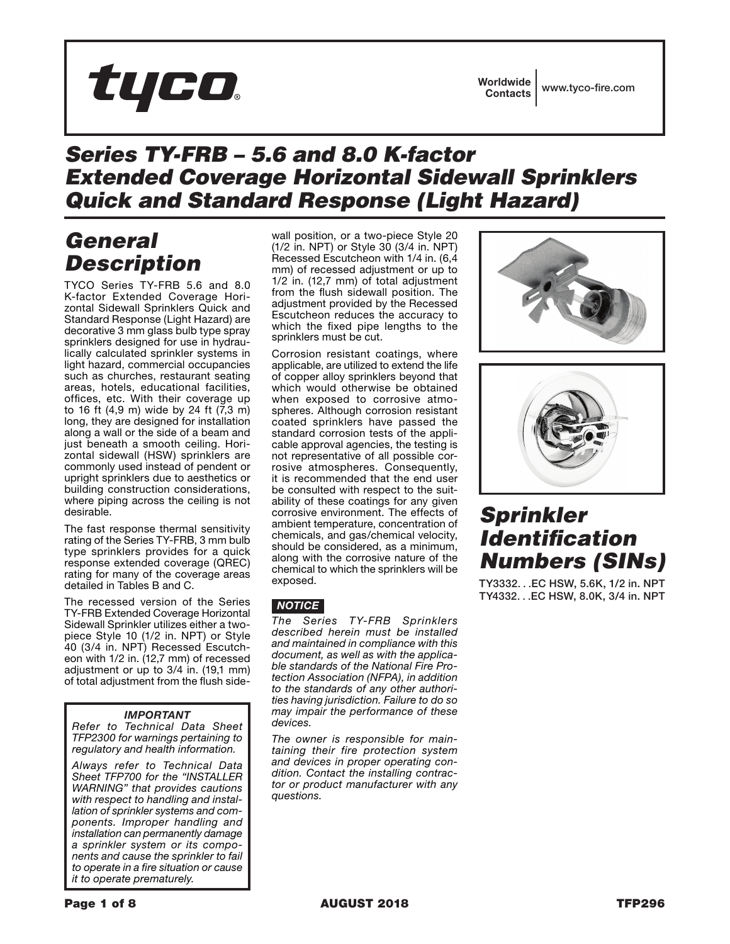# tyco.

# *Series TY-FRB – 5.6 and 8.0 K-factor Extended Coverage Horizontal Sidewall Sprinklers Quick and Standard Response (Light Hazard)*

# *General Description*

TYCO Series TY-FRB 5.6 and 8.0 K-factor Extended Coverage Horizontal Sidewall Sprinklers Quick and Standard Response (Light Hazard) are decorative 3 mm glass bulb type spray sprinklers designed for use in hydraulically calculated sprinkler systems in light hazard, commercial occupancies such as churches, restaurant seating areas, hotels, educational facilities, offices, etc. With their coverage up to 16 ft (4,9 m) wide by 24 ft (7,3 m) long, they are designed for installation along a wall or the side of a beam and just beneath a smooth ceiling. Horizontal sidewall (HSW) sprinklers are commonly used instead of pendent or upright sprinklers due to aesthetics or building construction considerations, where piping across the ceiling is not desirable.

The fast response thermal sensitivity rating of the Series TY-FRB, 3 mm bulb type sprinklers provides for a quick response extended coverage (QREC) rating for many of the coverage areas detailed in Tables B and C.

The recessed version of the Series TY-FRB Extended Coverage Horizontal Sidewall Sprinkler utilizes either a twopiece Style 10 (1/2 in. NPT) or Style 40 (3/4 in. NPT) Recessed Escutcheon with 1/2 in. (12,7 mm) of recessed adjustment or up to 3/4 in. (19,1 mm) of total adjustment from the flush side-

### *IMPORTANT*

*Refer to Technical Data Sheet TFP2300 for warnings pertaining to regulatory and health information.*

*Always refer to Technical Data Sheet TFP700 for the "INSTALLER WARNING" that provides cautions with respect to handling and installation of sprinkler systems and components. Improper handling and installation can permanently damage a sprinkler system or its components and cause the sprinkler to fail to operate in a fire situation or cause it to operate prematurely.*

wall position, or a two-piece Style 20 (1/2 in. NPT) or Style 30 (3/4 in. NPT) Recessed Escutcheon with 1/4 in. (6,4 mm) of recessed adjustment or up to 1/2 in. (12,7 mm) of total adjustment from the flush sidewall position. The adjustment provided by the Recessed Escutcheon reduces the accuracy to which the fixed pipe lengths to the sprinklers must be cut.

Corrosion resistant coatings, where applicable, are utilized to extend the life of copper alloy sprinklers beyond that which would otherwise be obtained when exposed to corrosive atmospheres. Although corrosion resistant coated sprinklers have passed the standard corrosion tests of the applicable approval agencies, the testing is not representative of all possible corrosive atmospheres. Consequently, it is recommended that the end user be consulted with respect to the suitability of these coatings for any given corrosive environment. The effects of ambient temperature, concentration of chemicals, and gas/chemical velocity, should be considered, as a minimum, along with the corrosive nature of the chemical to which the sprinklers will be exposed.

### *NOTICE*

*The Series TY-FRB Sprinklers described herein must be installed and maintained in compliance with this document, as well as with the applicable standards of the National Fire Protection Association (NFPA), in addition to the standards of any other authorities having jurisdiction. Failure to do so may impair the performance of these devices.*

*The owner is responsible for maintaining their fire protection system and devices in proper operating condition. Contact the installing contractor or product manufacturer with any questions.*





# *Sprinkler Identification Numbers (SINs)*

TY3332. . .EC HSW, 5.6K, 1/2 in. NPT TY4332. . .EC HSW, 8.0K, 3/4 in. NPT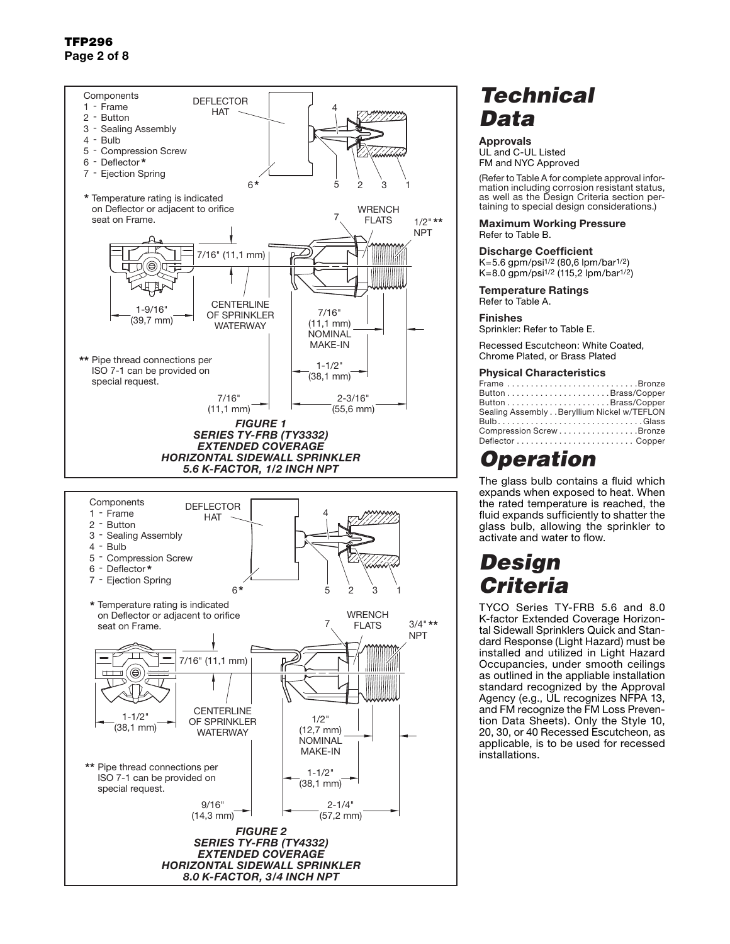TFP296 Page 2 of 8



# *Technical Data*

#### Approvals UL and C-UL Listed FM and NYC Approved

(Refer to Table A for complete approval information including corrosion resistant status, as well as the Design Criteria section pertaining to special design considerations.)

#### Maximum Working Pressure Refer to Table B.

#### Discharge Coefficient

 $K=5.6$  gpm/psi<sup>1/2</sup> (80,6 lpm/bar<sup>1/2</sup>)  $K=8.0$  gpm/psi<sup>1/2</sup> (115,2 lpm/bar<sup>1/2</sup>)

Temperature Ratings Refer to Table A.

#### Finishes

Sprinkler: Refer to Table E.

Recessed Escutcheon: White Coated, Chrome Plated, or Brass Plated

#### Physical Characteristics

| Frame Bronze                               |
|--------------------------------------------|
|                                            |
|                                            |
| Sealing Assembly Beryllium Nickel w/TEFLON |
| BulbGlass                                  |
| Compression Screw Bronze                   |
|                                            |

# *Operation*

The glass bulb contains a fluid which expands when exposed to heat. When the rated temperature is reached, the fluid expands sufficiently to shatter the glass bulb, allowing the sprinkler to activate and water to flow.

# *Design Criteria*

TYCO Series TY-FRB 5.6 and 8.0 K-factor Extended Coverage Horizontal Sidewall Sprinklers Quick and Standard Response (Light Hazard) must be installed and utilized in Light Hazard Occupancies, under smooth ceilings as outlined in the appliable installation standard recognized by the Approval Agency (e.g., UL recognizes NFPA 13, and FM recognize the FM Loss Prevention Data Sheets). Only the Style 10, 20, 30, or 40 Recessed Escutcheon, as applicable, is to be used for recessed installations.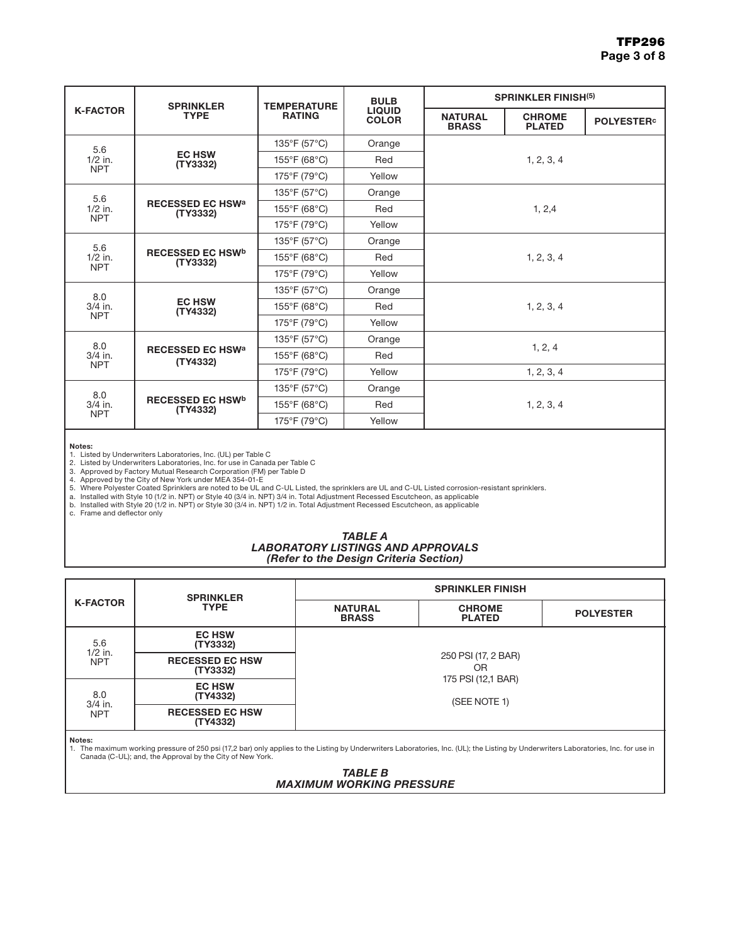|                                | <b>SPRINKLER</b>                    | <b>TEMPERATURE</b> | <b>BULB</b>                   | <b>SPRINKLER FINISH(5)</b>     |                                |                               |
|--------------------------------|-------------------------------------|--------------------|-------------------------------|--------------------------------|--------------------------------|-------------------------------|
| <b>K-FACTOR</b>                | <b>TYPE</b>                         | <b>RATING</b>      | <b>LIQUID</b><br><b>COLOR</b> | <b>NATURAL</b><br><b>BRASS</b> | <b>CHROME</b><br><b>PLATED</b> | <b>POLYESTER</b> <sup>c</sup> |
| 5.6<br>$1/2$ in.<br><b>NPT</b> |                                     | 135°F (57°C)       | Orange                        |                                |                                |                               |
|                                | <b>EC HSW</b><br>(TY3332)           | 155°F (68°C)       | Red                           | 1, 2, 3, 4                     |                                |                               |
|                                |                                     | 175°F (79°C)       | Yellow                        |                                |                                |                               |
| 5.6<br>$1/2$ in.<br><b>NPT</b> |                                     | 135°F (57°C)       | Orange                        |                                |                                |                               |
|                                | <b>RECESSED EC HSWa</b><br>(TY3332) | 155°F (68°C)       | Red                           | 1, 2, 4                        |                                |                               |
|                                |                                     | 175°F (79°C)       | Yellow                        |                                |                                |                               |
| 5.6<br>$1/2$ in.<br><b>NPT</b> | <b>RECESSED EC HSWb</b><br>(TY3332) | 135°F (57°C)       | Orange                        | 1, 2, 3, 4                     |                                |                               |
|                                |                                     | 155°F (68°C)       | Red                           |                                |                                |                               |
|                                |                                     | 175°F (79°C)       | Yellow                        |                                |                                |                               |
| 8.0                            | <b>EC HSW</b><br>(TY4332)           | 135°F (57°C)       | Orange                        | 1, 2, 3, 4                     |                                |                               |
| $3/4$ in.<br><b>NPT</b>        |                                     | 155°F (68°C)       | Red                           |                                |                                |                               |
|                                |                                     | 175°F (79°C)       | Yellow                        |                                |                                |                               |
| 8.0                            | <b>RECESSED EC HSWa</b><br>(TY4332) | 135°F (57°C)       | Orange                        |                                |                                |                               |
| $3/4$ in.                      |                                     | 155°F (68°C)       | Red                           | 1, 2, 4                        |                                |                               |
| <b>NPT</b>                     |                                     | 175°F (79°C)       | Yellow                        |                                | 1, 2, 3, 4                     |                               |
| 8.0<br>$3/4$ in.<br><b>NPT</b> | <b>RECESSED EC HSWb</b><br>(TY4332) | 135°F (57°C)       | Orange                        |                                |                                |                               |
|                                |                                     | 155°F (68°C)       | Red                           | 1, 2, 3, 4                     |                                |                               |
|                                |                                     | 175°F (79°C)       | Yellow                        |                                |                                |                               |

Notes:

1. Listed by Underwriters Laboratories, Inc. (UL) per Table C<br>2. Listed by Underwriters Laboratories, Inc. for use in Canada per Table C<br>3. Approved by Factory Mutual Research Corporation (FM) per Table D

4. Approved by the City of New York under MEA 354-01-E<br>5. Where Polyester Coated Sprinklers are noted to be UL and C-UL Listed, the sprinklers are UL and C-UL Listed corrosion-resistant sprinklers.<br>a. Installed with Style

#### *TABLE A LABORATORY LISTINGS AND APPROVALS (Refer to the Design Criteria Section)*

|                              | <b>SPRINKLER</b>                   | <b>SPRINKLER FINISH</b>            |                                |                  |  |  |  |
|------------------------------|------------------------------------|------------------------------------|--------------------------------|------------------|--|--|--|
| <b>K-FACTOR</b>              | <b>TYPE</b>                        | <b>NATURAL</b><br><b>BRASS</b>     | <b>CHROME</b><br><b>PLATED</b> | <b>POLYESTER</b> |  |  |  |
| 5.6<br>$1/2$ in.             | <b>EC HSW</b><br>(TY3332)          |                                    |                                |                  |  |  |  |
| <b>NPT</b>                   | <b>RECESSED EC HSW</b><br>(TY3332) | 250 PSI (17, 2 BAR)<br>0R          |                                |                  |  |  |  |
| 8.0<br>3/4 in.<br><b>NPT</b> | <b>EC HSW</b><br>(TY4332)          | 175 PSI (12,1 BAR)<br>(SEE NOTE 1) |                                |                  |  |  |  |
|                              | <b>RECESSED EC HSW</b><br>(TY4332) |                                    |                                |                  |  |  |  |

Notes:

1. The maximum working pressure of 250 psi (17,2 bar) only applies to the Listing by Underwriters Laboratories, Inc. (UL); the Listing by Underwriters Laboratories, Inc. for use in Canada (C-UL); and, the Approval by the City of New York.

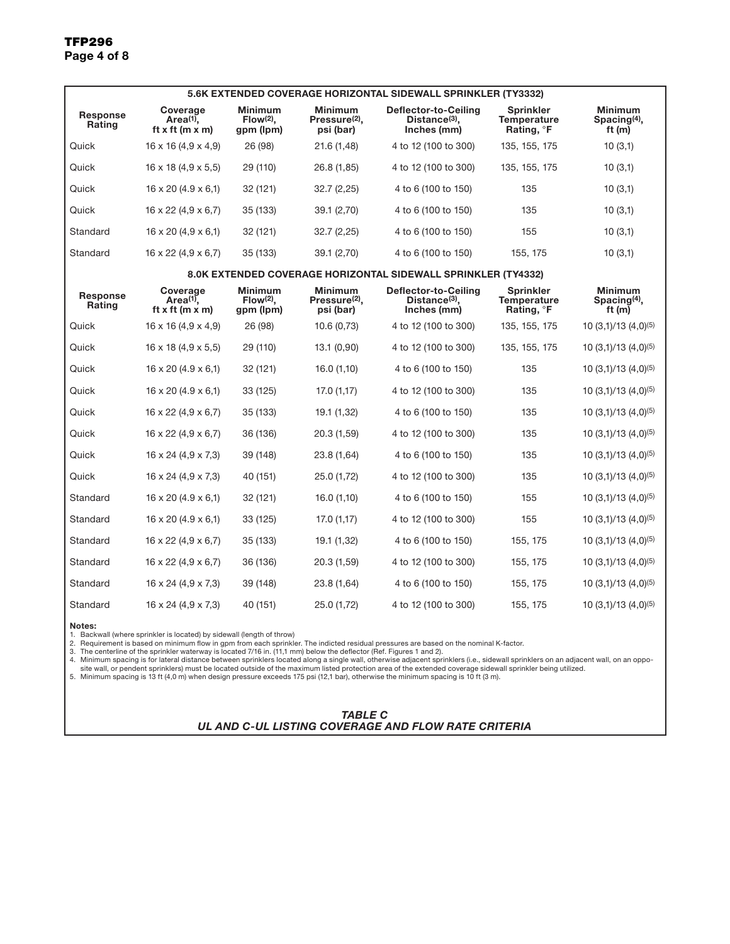| 5.6K EXTENDED COVERAGE HORIZONTAL SIDEWALL SPRINKLER (TY3332) |                                                               |                                            |                                                          |                                                                  |                                                           |                                                      |  |  |
|---------------------------------------------------------------|---------------------------------------------------------------|--------------------------------------------|----------------------------------------------------------|------------------------------------------------------------------|-----------------------------------------------------------|------------------------------------------------------|--|--|
| Response<br>Rating                                            | Coverage<br>Area <sup>(1)</sup> ,<br>ft x ft (m x m)          | <b>Minimum</b><br>$Flow(2)$ ,<br>gpm (Ipm) | <b>Minimum</b><br>Pressure <sup>(2)</sup> ,<br>psi (bar) | Deflector-to-Ceiling<br>Distance(3),<br>Inches (mm)              | Sprinkler<br>Temperature<br>Rating, <b>F</b>              | Minimum<br>Spacing <sup>(4)</sup> ,<br>ft (m)        |  |  |
| Quick                                                         | $16 \times 16 (4.9 \times 4.9)$                               | 26 (98)                                    | 21.6 (1,48)                                              | 4 to 12 (100 to 300)                                             | 135, 155, 175                                             | 10(3,1)                                              |  |  |
| Quick                                                         | $16 \times 18$ (4,9 $\times$ 5,5)                             | 29 (110)                                   | 26.8 (1,85)                                              | 4 to 12 (100 to 300)                                             | 135, 155, 175                                             | 10(3,1)                                              |  |  |
| Quick                                                         | $16 \times 20$ (4.9 $\times$ 6,1)                             | 32 (121)                                   | 32.7(2,25)                                               | 4 to 6 (100 to 150)                                              | 135                                                       | 10(3,1)                                              |  |  |
| Quick                                                         | $16 \times 22$ (4,9 $\times$ 6,7)                             | 35 (133)                                   | 39.1 (2,70)                                              | 4 to 6 (100 to 150)                                              | 135                                                       | 10(3,1)                                              |  |  |
| Standard                                                      | $16 \times 20$ (4,9 $\times$ 6,1)                             | 32 (121)                                   | 32.7 (2,25)                                              | 4 to 6 (100 to 150)                                              | 155                                                       | 10(3,1)                                              |  |  |
| Standard                                                      | $16 \times 22$ (4,9 $\times$ 6,7)                             | 35 (133)                                   | 39.1 (2,70)                                              | 4 to 6 (100 to 150)                                              | 155, 175                                                  | 10(3,1)                                              |  |  |
| 8.0K EXTENDED COVERAGE HORIZONTAL SIDEWALL SPRINKLER (TY4332) |                                                               |                                            |                                                          |                                                                  |                                                           |                                                      |  |  |
| Response<br><b>Rating</b>                                     | Coverage<br>Area <sup>(1)</sup> ,<br>ft x ft ( $m \times m$ ) | Minimum<br>$Flow(2)$ ,<br>gpm (lpm)        | <b>Minimum</b><br>Pressure <sup>(2)</sup> ,<br>psi (bar) | Deflector-to-Ceiling<br>Distance <sup>(3)</sup> ,<br>Inches (mm) | <b>Sprinkler</b><br>Temperature<br>Rating, <sup>o</sup> F | <b>Minimum</b><br>Spacing <sup>(4)</sup> ,<br>ft (m) |  |  |
| Quick                                                         | $16 \times 16 (4, 9 \times 4, 9)$                             | 26 (98)                                    | 10.6(0,73)                                               | 4 to 12 (100 to 300)                                             | 135, 155, 175                                             | 10 (3,1)/13 (4,0) <sup>(5)</sup>                     |  |  |
| Quick                                                         | $16 \times 18$ (4,9 $\times$ 5,5)                             | 29 (110)                                   | 13.1 (0,90)                                              | 4 to 12 (100 to 300)                                             | 135, 155, 175                                             | 10 $(3,1)/13$ $(4,0)^{(5)}$                          |  |  |
| Quick                                                         | $16 \times 20$ (4.9 $\times$ 6,1)                             | 32 (121)                                   | 16.0 (1,10)                                              | 4 to 6 (100 to 150)                                              | 135                                                       | 10 $(3,1)/13$ $(4,0)^{(5)}$                          |  |  |
| Quick                                                         | $16 \times 20$ (4.9 $\times$ 6,1)                             | 33 (125)                                   | 17.0(1,17)                                               | 4 to 12 (100 to 300)                                             | 135                                                       | 10 $(3,1)/13$ $(4,0)^{(5)}$                          |  |  |
| Quick                                                         | $16 \times 22$ (4,9 $\times$ 6,7)                             | 35 (133)                                   | 19.1 (1,32)                                              | 4 to 6 (100 to 150)                                              | 135                                                       | 10 $(3,1)/13$ $(4,0)^{(5)}$                          |  |  |
| Quick                                                         | $16 \times 22$ (4,9 $\times$ 6,7)                             | 36 (136)                                   | 20.3 (1,59)                                              | 4 to 12 (100 to 300)                                             | 135                                                       | 10 $(3,1)/13$ $(4,0)^{(5)}$                          |  |  |
| Quick                                                         | $16 \times 24$ (4,9 x 7,3)                                    | 39 (148)                                   | 23.8 (1,64)                                              | 4 to 6 (100 to 150)                                              | 135                                                       | 10 $(3,1)/13$ $(4,0)^{(5)}$                          |  |  |
| Quick                                                         | $16 \times 24$ (4,9 x 7,3)                                    | 40 (151)                                   | 25.0 (1,72)                                              | 4 to 12 (100 to 300)                                             | 135                                                       | 10 $(3,1)/13$ $(4,0)^{(5)}$                          |  |  |
| Standard                                                      | $16 \times 20$ (4.9 $\times$ 6,1)                             | 32 (121)                                   | 16.0 (1,10)                                              | 4 to 6 (100 to 150)                                              | 155                                                       | 10 $(3,1)/13$ $(4,0)^{(5)}$                          |  |  |
| Standard                                                      | $16 \times 20$ (4.9 $\times$ 6,1)                             | 33 (125)                                   | 17.0 (1,17)                                              | 4 to 12 (100 to 300)                                             | 155                                                       | 10 $(3,1)/13$ $(4,0)^{(5)}$                          |  |  |
| Standard                                                      | $16 \times 22$ (4,9 $\times$ 6,7)                             | 35 (133)                                   | 19.1 (1,32)                                              | 4 to 6 (100 to 150)                                              | 155, 175                                                  | 10 $(3,1)/13$ $(4,0)^{(5)}$                          |  |  |
| Standard                                                      | $16 \times 22$ (4,9 $\times$ 6,7)                             | 36 (136)                                   | 20.3 (1,59)                                              | 4 to 12 (100 to 300)                                             | 155, 175                                                  | 10 $(3,1)/13$ $(4,0)^{(5)}$                          |  |  |
| Standard                                                      | $16 \times 24$ (4,9 x 7,3)                                    | 39 (148)                                   | 23.8 (1,64)                                              | 4 to 6 (100 to 150)                                              | 155, 175                                                  | 10 $(3,1)/13$ $(4,0)^{(5)}$                          |  |  |
| Standard                                                      | $16 \times 24$ (4,9 x 7,3)                                    | 40 (151)                                   | 25.0 (1,72)                                              | 4 to 12 (100 to 300)                                             | 155, 175                                                  | 10 $(3,1)/13$ $(4,0)^{(5)}$                          |  |  |

Notes:

1. Backwall (where sprinkler is located) by sidewall (length of throw)<br>2. Requirement is based on minimum flow in gpm from each sprinkler. The indicted residual pressures are based on the nominal K-factor.<br>3. The centerlin

| TABLE C                                             |
|-----------------------------------------------------|
| UL AND C-UL LISTING COVERAGE AND FLOW RATE CRITERIA |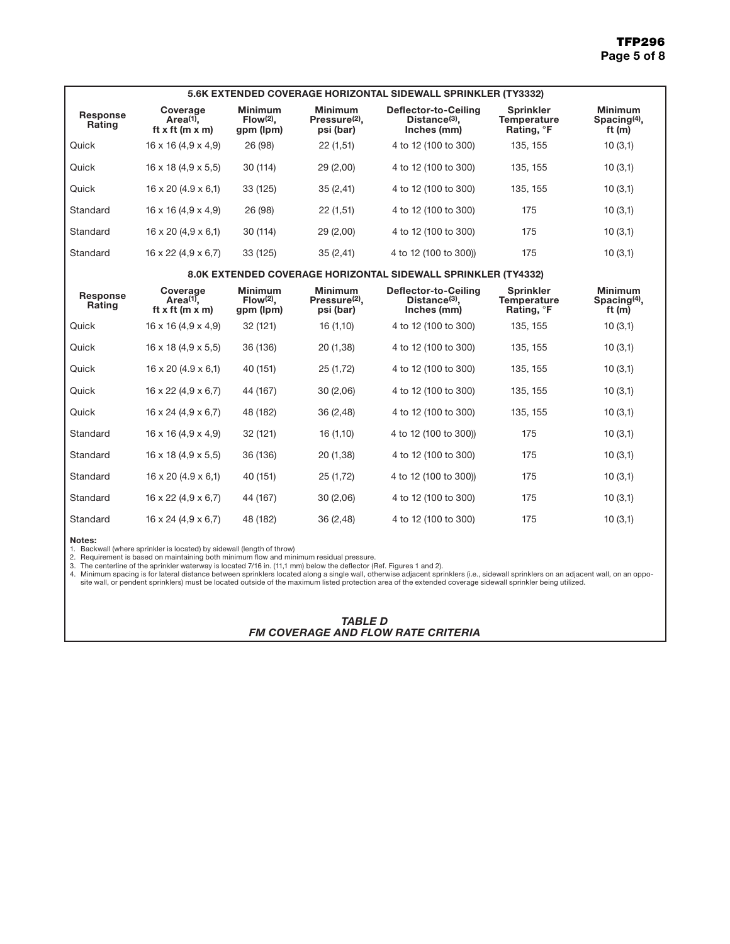| 5.6K EXTENDED COVERAGE HORIZONTAL SIDEWALL SPRINKLER (TY3332) |                                                      |                                            |                                                          |                                                               |                                                                  |                                               |  |
|---------------------------------------------------------------|------------------------------------------------------|--------------------------------------------|----------------------------------------------------------|---------------------------------------------------------------|------------------------------------------------------------------|-----------------------------------------------|--|
| <b>Response</b><br><b>Rating</b>                              | Coverage<br>$Area(1)$ .<br>ft x ft ( $m \times m$ )  | <b>Minimum</b><br>$Flow(2)$ .<br>gpm (lpm) | <b>Minimum</b><br>Pressure <sup>(2)</sup> .<br>psi (bar) | Deflector-to-Ceiling<br>$Distance(3)$ .<br>Inches (mm)        | <b>Sprinkler</b><br><b>Temperature</b><br>Rating, <sup>o</sup> F | <b>Minimum</b><br>Spacing $(4)$ ,<br>ft $(m)$ |  |
| Quick                                                         | $16 \times 16 (4.9 \times 4.9)$                      | 26 (98)                                    | 22(1,51)                                                 | 4 to 12 (100 to 300)                                          | 135, 155                                                         | 10(3,1)                                       |  |
| Quick                                                         | $16 \times 18$ (4,9 $\times$ 5,5)                    | 30 (114)                                   | 29 (2,00)                                                | 4 to 12 (100 to 300)                                          | 135, 155                                                         | 10(3,1)                                       |  |
| Quick                                                         | $16 \times 20$ (4.9 $\times$ 6,1)                    | 33 (125)                                   | 35(2,41)                                                 | 4 to 12 (100 to 300)                                          | 135, 155                                                         | 10(3,1)                                       |  |
| Standard                                                      | $16 \times 16 (4.9 \times 4.9)$                      | 26 (98)                                    | 22(1,51)                                                 | 4 to 12 (100 to 300)                                          | 175                                                              | 10(3,1)                                       |  |
| Standard                                                      | $16 \times 20$ (4,9 $\times$ 6,1)                    | 30 (114)                                   | 29 (2,00)                                                | 4 to 12 (100 to 300)                                          | 175                                                              | 10(3,1)                                       |  |
| Standard                                                      | $16 \times 22$ (4,9 $\times$ 6,7)                    | 33 (125)                                   | 35(2,41)                                                 | 4 to 12 (100 to 300))                                         | 175                                                              | 10(3,1)                                       |  |
|                                                               |                                                      |                                            |                                                          | 8.0K EXTENDED COVERAGE HORIZONTAL SIDEWALL SPRINKLER (TY4332) |                                                                  |                                               |  |
| Response<br><b>Rating</b>                                     | Coverage<br>Area $(1)$ .<br>ft x ft ( $m \times m$ ) | <b>Minimum</b><br>$Flow(2)$ .<br>gpm (lpm) | <b>Minimum</b><br>Pressure <sup>(2)</sup> .<br>psi (bar) | Deflector-to-Ceiling<br>Distance $(3)$ ,<br>Inches (mm)       | <b>Sprinkler</b><br><b>Temperature</b><br>Rating, <sup>°</sup> F | <b>Minimum</b><br>Spacing $(4)$ ,<br>ft $(m)$ |  |
| Quick                                                         | 16 x 16 (4,9 x 4,9)                                  | 32 (121)                                   | 16(1,10)                                                 | 4 to 12 (100 to 300)                                          | 135, 155                                                         | 10(3,1)                                       |  |
| Quick                                                         | $16 \times 18$ (4,9 $\times$ 5,5)                    | 36 (136)                                   | 20 (1,38)                                                | 4 to 12 (100 to 300)                                          | 135, 155                                                         | 10(3,1)                                       |  |
| Quick                                                         | $16 \times 20$ (4.9 $\times$ 6,1)                    | 40 (151)                                   | 25 (1,72)                                                | 4 to 12 (100 to 300)                                          | 135, 155                                                         | 10(3,1)                                       |  |
| Quick                                                         | $16 \times 22$ (4,9 $\times$ 6,7)                    | 44 (167)                                   | 30 (2,06)                                                | 4 to 12 (100 to 300)                                          | 135, 155                                                         | 10(3,1)                                       |  |
| Quick                                                         | $16 \times 24$ (4,9 $\times$ 6,7)                    | 48 (182)                                   | 36 (2,48)                                                | 4 to 12 (100 to 300)                                          | 135, 155                                                         | 10(3,1)                                       |  |
| Standard                                                      | $16 \times 16 (4, 9 \times 4, 9)$                    | 32 (121)                                   | 16(1,10)                                                 | 4 to 12 (100 to 300))                                         | 175                                                              | 10(3,1)                                       |  |
| Standard                                                      | $16 \times 18$ (4,9 $\times$ 5,5)                    | 36 (136)                                   | 20 (1,38)                                                | 4 to 12 (100 to 300)                                          | 175                                                              | 10(3,1)                                       |  |
| Standard                                                      | $16 \times 20$ (4.9 $\times$ 6,1)                    | 40 (151)                                   | 25 (1,72)                                                | 4 to 12 (100 to 300))                                         | 175                                                              | 10(3,1)                                       |  |
| Standard                                                      | $16 \times 22$ (4,9 $\times$ 6,7)                    | 44 (167)                                   | 30(2,06)                                                 | 4 to 12 (100 to 300)                                          | 175                                                              | 10(3,1)                                       |  |
| Standard                                                      | $16 \times 24$ (4,9 $\times$ 6,7)                    | 48 (182)                                   | 36 (2,48)                                                | 4 to 12 (100 to 300)                                          | 175                                                              | 10(3,1)                                       |  |

Notes:

1. Backwall (where sprinkler is located) by sidewall (length of throw)<br>2. Requirement is based on maintaining both minimum flow and minimum residual pressure.<br>3. The centerline of the sprinkler waterway is located 7/16 i

*TABLE D FM COVERAGE AND FLOW RATE CRITERIA*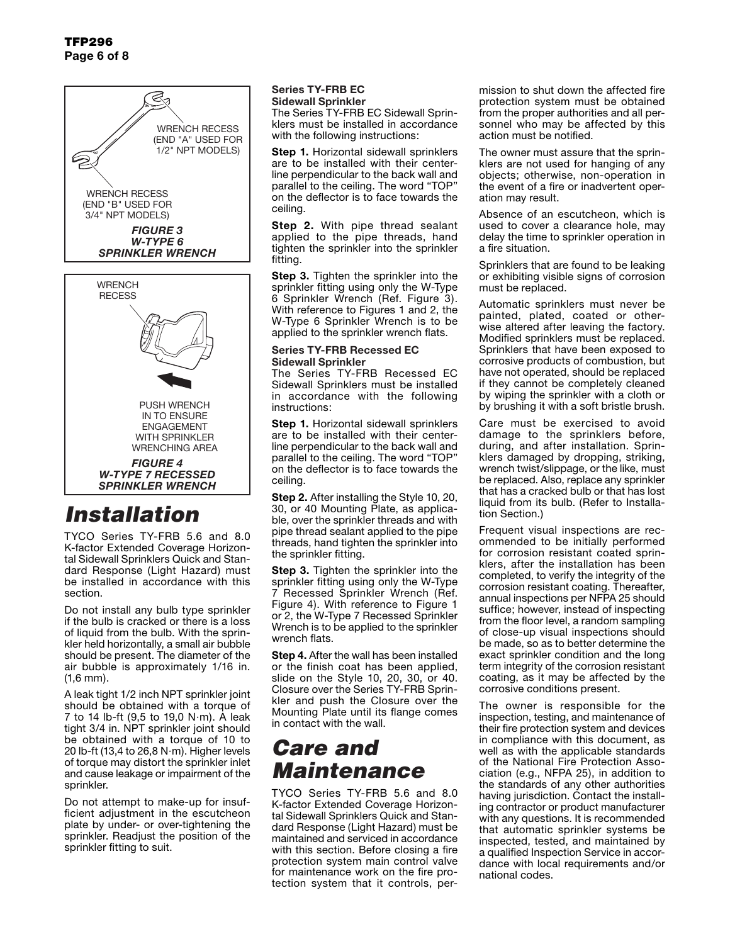### TFP296 Page 6 of 8





# *Installation*

TYCO Series TY-FRB 5.6 and 8.0 K-factor Extended Coverage Horizontal Sidewall Sprinklers Quick and Standard Response (Light Hazard) must be installed in accordance with this section.

Do not install any bulb type sprinkler if the bulb is cracked or there is a loss of liquid from the bulb. With the sprinkler held horizontally, a small air bubble should be present. The diameter of the air bubble is approximately 1/16 in. (1,6 mm).

A leak tight 1/2 inch NPT sprinkler joint should be obtained with a torque of 7 to 14 lb-ft  $(9,5 \text{ to } 19,0 \text{ N} \cdot \text{m})$ . A leak tight 3/4 in. NPT sprinkler joint should be obtained with a torque of 10 to 20 lb-ft (13,4 to 26,8 N $\cdot$ m). Higher levels of torque may distort the sprinkler inlet and cause leakage or impairment of the sprinkler.

Do not attempt to make-up for insufficient adjustment in the escutcheon plate by under- or over-tightening the sprinkler. Readjust the position of the sprinkler fitting to suit.

### Series TY-FRB EC Sidewall Sprinkler

The Series TY-FRB EC Sidewall Sprinklers must be installed in accordance with the following instructions:

**Step 1.** Horizontal sidewall sprinklers are to be installed with their centerline perpendicular to the back wall and parallel to the ceiling. The word "TOP" on the deflector is to face towards the ceiling.

**Step 2.** With pipe thread sealant applied to the pipe threads, hand tighten the sprinkler into the sprinkler fitting.

**Step 3.** Tighten the sprinkler into the sprinkler fitting using only the W-Type 6 Sprinkler Wrench (Ref. Figure 3). With reference to Figures 1 and 2, the W-Type 6 Sprinkler Wrench is to be applied to the sprinkler wrench flats.

#### Series TY-FRB Recessed EC Sidewall Sprinkler

The Series TY-FRB Recessed EC Sidewall Sprinklers must be installed in accordance with the following instructions:

**Step 1.** Horizontal sidewall sprinklers are to be installed with their centerline perpendicular to the back wall and parallel to the ceiling. The word "TOP" on the deflector is to face towards the ceiling.

**Step 2.** After installing the Style 10, 20, 30, or 40 Mounting Plate, as applicable, over the sprinkler threads and with pipe thread sealant applied to the pipe threads, hand tighten the sprinkler into the sprinkler fitting.

**Step 3.** Tighten the sprinkler into the sprinkler fitting using only the W-Type 7 Recessed Sprinkler Wrench (Ref. Figure 4). With reference to Figure 1 or 2, the W-Type 7 Recessed Sprinkler Wrench is to be applied to the sprinkler wrench flats.

**Step 4.** After the wall has been installed or the finish coat has been applied, slide on the Style 10, 20, 30, or 40. Closure over the Series TY-FRB Sprinkler and push the Closure over the Mounting Plate until its flange comes in contact with the wall.

# *Care and Maintenance*

TYCO Series TY-FRB 5.6 and 8.0 K-factor Extended Coverage Horizontal Sidewall Sprinklers Quick and Standard Response (Light Hazard) must be maintained and serviced in accordance with this section. Before closing a fire protection system main control valve for maintenance work on the fire protection system that it controls, permission to shut down the affected fire protection system must be obtained from the proper authorities and all personnel who may be affected by this action must be notified.

The owner must assure that the sprinklers are not used for hanging of any objects; otherwise, non-operation in the event of a fire or inadvertent operation may result.

Absence of an escutcheon, which is used to cover a clearance hole, may delay the time to sprinkler operation in a fire situation.

Sprinklers that are found to be leaking or exhibiting visible signs of corrosion must be replaced.

Automatic sprinklers must never be painted, plated, coated or otherwise altered after leaving the factory. Modified sprinklers must be replaced. Sprinklers that have been exposed to corrosive products of combustion, but have not operated, should be replaced if they cannot be completely cleaned by wiping the sprinkler with a cloth or by brushing it with a soft bristle brush.

Care must be exercised to avoid damage to the sprinklers before, during, and after installation. Sprinklers damaged by dropping, striking, wrench twist/slippage, or the like, must be replaced. Also, replace any sprinkler that has a cracked bulb or that has lost liquid from its bulb. (Refer to Installation Section.)

Frequent visual inspections are recommended to be initially performed for corrosion resistant coated sprinklers, after the installation has been completed, to verify the integrity of the corrosion resistant coating. Thereafter, annual inspections per NFPA 25 should suffice; however, instead of inspecting from the floor level, a random sampling of close-up visual inspections should be made, so as to better determine the exact sprinkler condition and the long term integrity of the corrosion resistant coating, as it may be affected by the corrosive conditions present.

The owner is responsible for the inspection, testing, and maintenance of their fire protection system and devices in compliance with this document, as well as with the applicable standards of the National Fire Protection Association (e.g., NFPA 25), in addition to the standards of any other authorities having jurisdiction. Contact the installing contractor or product manufacturer with any questions. It is recommended that automatic sprinkler systems be inspected, tested, and maintained by a qualified Inspection Service in accordance with local requirements and/or national codes.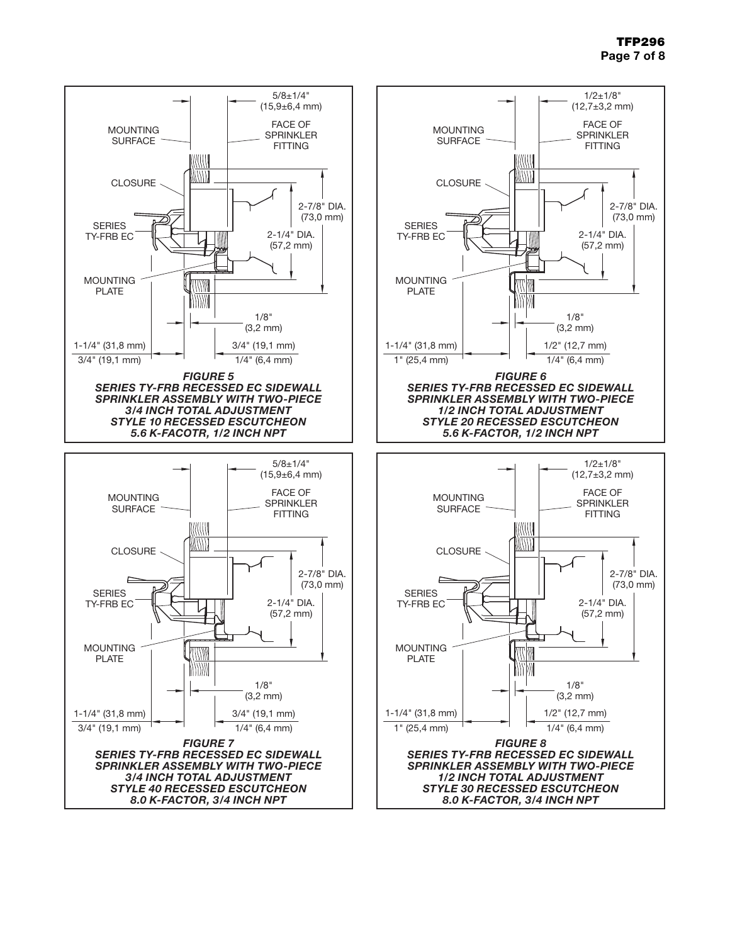